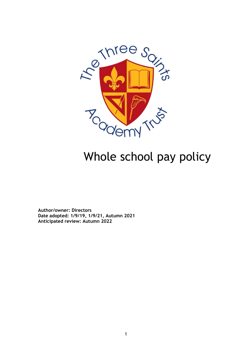

# Whole school pay policy

**Author/owner: Directors Date adopted: 1/9/19, 1/9/21, Autumn 2021 Anticipated review: Autumn 2022**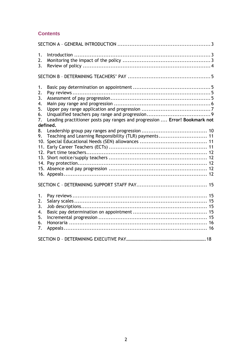# **Contents**

| 1.<br>2.<br>3.       |                                                                                              |  |  |  |
|----------------------|----------------------------------------------------------------------------------------------|--|--|--|
|                      |                                                                                              |  |  |  |
| 1.<br>2.<br>3.<br>4. |                                                                                              |  |  |  |
| 5.                   |                                                                                              |  |  |  |
| 6.                   |                                                                                              |  |  |  |
|                      | Leading practitioner posts pay ranges and progression  Error! Bookmark not<br>7.<br>defined. |  |  |  |
| 8.                   |                                                                                              |  |  |  |
| 9.                   | Teaching and Learning Responsibility (TLR) payments 11                                       |  |  |  |
| 10.                  |                                                                                              |  |  |  |
|                      |                                                                                              |  |  |  |
|                      |                                                                                              |  |  |  |
|                      |                                                                                              |  |  |  |
|                      |                                                                                              |  |  |  |
|                      |                                                                                              |  |  |  |
|                      |                                                                                              |  |  |  |
|                      |                                                                                              |  |  |  |
| 1.                   |                                                                                              |  |  |  |
| 2.                   |                                                                                              |  |  |  |
| 3.                   |                                                                                              |  |  |  |
| 4.                   |                                                                                              |  |  |  |
| 5.                   |                                                                                              |  |  |  |
| 6.                   |                                                                                              |  |  |  |
| 7.                   |                                                                                              |  |  |  |
|                      |                                                                                              |  |  |  |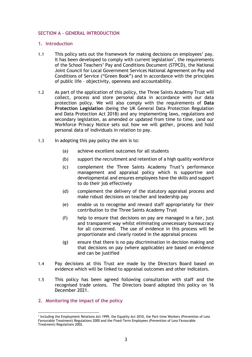# <span id="page-2-0"></span>**SECTION A – GENERAL INTRODUCTION**

#### <span id="page-2-1"></span>**1. Introduction**

- 1.1 This policy sets out the framework for making decisions on employees' pay. It has been developed to comply with current legislation<sup>1</sup>, the requirements of the School Teachers' Pay and Conditions Document (STPCD), the National Joint Council for Local Government Services National Agreement on Pay and Conditions of Service ("Green Book") and in accordance with the principles of public life – objectivity, openness and accountability.
- 1.2 As part of the application of this policy, the Three Saints Academy Trust will collect, process and store personal data in accordance with our data protection policy. We will also comply with the requirements of **Data Protection Legislation** (being the UK General Data Protection Regulation and Data Protection Act 2018) and any implementing laws, regulations and secondary legislation, as amended or updated from time to time, (and our Workforce Privacy Notice sets out how we will gather, process and hold personal data of individuals in relation to pay.
- 1.3 In adopting this pay policy the aim is to:
	- (a) achieve excellent outcomes for all students
	- (b) support the recruitment and retention of a high quality workforce
	- (c) complement the Three Saints Academy Trust's performance management and appraisal policy which is supportive and developmental and ensures employees have the skills and support to do their job effectively
	- (d) complement the delivery of the statutory appraisal process and make robust decisions on teacher and leadership pay
	- (e) enable us to recognise and reward staff appropriately for their contribution to the Three Saints Academy Trust
	- (f) help to ensure that decisions on pay are managed in a fair, just and transparent way whilst eliminating unnecessary bureaucracy for all concerned. The use of evidence in this process will be proportionate and clearly rooted in the appraisal process
	- (g) ensure that there is no pay discrimination in decision making and that decisions on pay (where applicable) are based on evidence and can be justified
- 1.4 Pay decisions at this Trust are made by the Directors Board based on evidence which will be linked to appraisal outcomes and other indicators.
- 1.5 This policy has been agreed following consultation with staff and the recognised trade unions. The Directors board adopted this policy on 16 December 2021.
- <span id="page-2-2"></span>**2. Monitoring the impact of the policy**

<sup>1</sup> Including the Employment Relations Act 1999, the Equality Act 2010, the Part-time Workers (Prevention of Less Favourable Treatment) Regulations 2000 and the Fixed-Term Employees (Prevention of Less Favourable Treatment) Regulations 2002.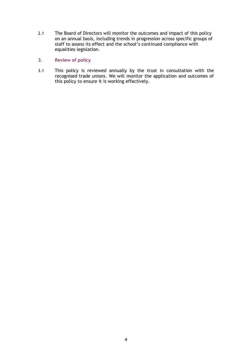- 2.1 The Board of Directors will monitor the outcomes and impact of this policy on an annual basis, including trends in progression across specific groups of staff to assess its effect and the school's continued compliance with equalities legislation.
- <span id="page-3-0"></span>**3. Review of policy**
- 3.1 This policy is reviewed annually by the trust in consultation with the recognised trade unions. We will monitor the application and outcomes of this policy to ensure it is working effectively.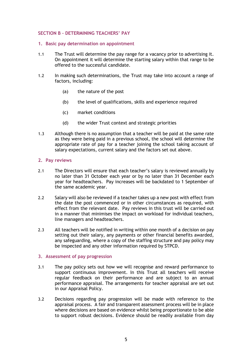#### <span id="page-4-0"></span>**SECTION B – DETERMINING TEACHERS' PAY**

#### <span id="page-4-1"></span>**1. Basic pay determination on appointment**

- 1.1 The Trust will determine the pay range for a vacancy prior to advertising it. On appointment it will determine the starting salary within that range to be offered to the successful candidate.
- 1.2 In making such determinations, the Trust may take into account a range of factors, including:
	- (a) the nature of the post
	- (b) the level of qualifications, skills and experience required
	- (c) market conditions
	- (d) the wider Trust context and strategic priorities
- 1.3 Although there is no assumption that a teacher will be paid at the same rate as they were being paid in a previous school, the school will determine the appropriate rate of pay for a teacher joining the school taking account of salary expectations, current salary and the factors set out above.

#### <span id="page-4-2"></span>**2. Pay reviews**

- 2.1 The Directors will ensure that each teacher's salary is reviewed annually by no later than 31 October each year or by no later than 31 December each year for headteachers. Pay increases will be backdated to 1 September of the same academic year.
- 2.2 Salary will also be reviewed if a teacher takes up a new post with effect from the date the post commenced or in other circumstances as required, with effect from the relevant date. Pay reviews in this trust will be carried out in a manner that minimises the impact on workload for individual teachers, line managers and headteachers.
- 2.3 All teachers will be notified in writing within one month of a decision on pay setting out their salary, any payments or other financial benefits awarded, any safeguarding, where a copy of the staffing structure and pay policy may be inspected and any other information required by STPCD.

#### <span id="page-4-3"></span>**3. Assessment of pay progression**

- 3.1 The pay policy sets out how we will recognise and reward performance to support continuous improvement. In this Trust all teachers will receive regular feedback on their performance and are subject to an annual performance appraisal. The arrangements for teacher appraisal are set out in our Appraisal Policy.
- 3.2 Decisions regarding pay progression will be made with reference to the appraisal process. A fair and transparent assessment process will be in place where decisions are based on evidence whilst being proportionate to be able to support robust decisions. Evidence should be readily available from day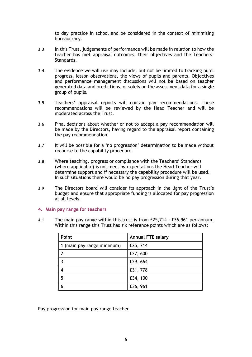to day practice in school and be considered in the context of minimising bureaucracy.

- 3.3 In this Trust, judgements of performance will be made in relation to how the teacher has met appraisal outcomes, their objectives and the Teachers' Standards.
- 3.4 The evidence we will use may include, but not be limited to tracking pupil progress, lesson observations, the views of pupils and parents. Objectives and performance management discussions will not be based on teacher generated data and predictions, or solely on the assessment data for a single group of pupils.
- 3.5 Teachers' appraisal reports will contain pay recommendations. These recommendations will be reviewed by the Head Teacher and will be moderated across the Trust.
- 3.6 Final decisions about whether or not to accept a pay recommendation will be made by the Directors, having regard to the appraisal report containing the pay recommendation.
- 3.7 It will be possible for a 'no progression' determination to be made without recourse to the capability procedure.
- 3.8 Where teaching, progress or compliance with the Teachers' Standards (where applicable) is not meeting expectations the Head Teacher will determine support and if necessary the capability procedure will be used. In such situations there would be no pay progression during that year.
- 3.9 The Directors board will consider its approach in the light of the Trust's budget and ensure that appropriate funding is allocated for pay progression at all levels.

#### <span id="page-5-0"></span>**4. Main pay range for teachers**

4.1 The main pay range within this trust is from £25,714 - £36,961 per annum. Within this range this Trust has six reference points which are as follows:

| Point                      | <b>Annual FTE salary</b> |
|----------------------------|--------------------------|
| 1 (main pay range minimum) | £25, 714                 |
| -2                         | £27,600                  |
| 3                          | £29, 664                 |
|                            | £31, 778                 |
| 5                          | £34, 100                 |
|                            | £36, 961                 |

Pay progression for main pay range teacher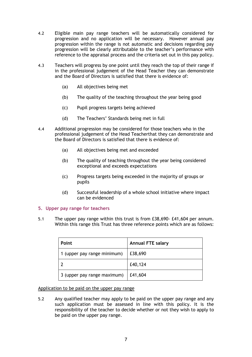- 4.2 Eligible main pay range teachers will be automatically considered for progression and no application will be necessary. However annual pay progression within the range is not automatic and decisions regarding pay progression will be clearly attributable to the teacher's performance with reference to the appraisal process and the criteria set out in this pay policy.
- 4.3 Teachers will progress by one point until they reach the top of their range if in the professional judgement of the Head Teacher they can demonstrate and the Board of Directors is satisfied that there is evidence of:
	- (a) All objectives being met
	- (b) The quality of the teaching throughout the year being good
	- (c) Pupil progress targets being achieved
	- (d) The Teachers' Standards being met in full
- 4.4 Additional progression may be considered for those teachers who in the professional judgement of the Head Teacherthat they can demonstrate and the Board of Directors is satisfied that there is evidence of:
	- (a) All objectives being met and exceeded
	- (b) The quality of teaching throughout the year being considered exceptional and exceeds expectations
	- (c) Progress targets being exceeded in the majority of groups or pupils
	- (d) Successful leadership of a whole school initiative where impact can be evidenced

#### <span id="page-6-0"></span>**5. Upper pay range for teachers**

5.1 The upper pay range within this trust is from £38,690- £41,604 per annum. Within this range this Trust has three reference points which are as follows:

| <b>Point</b>                | <b>Annual FTE salary</b> |
|-----------------------------|--------------------------|
| 1 (upper pay range minimum) | £38,690                  |
|                             | £40,124                  |
| 3 (upper pay range maximum) | £41,604                  |

#### Application to be paid on the upper pay range

5.2 Any qualified teacher may apply to be paid on the upper pay range and any such application must be assessed in line with this policy. It is the responsibility of the teacher to decide whether or not they wish to apply to be paid on the upper pay range.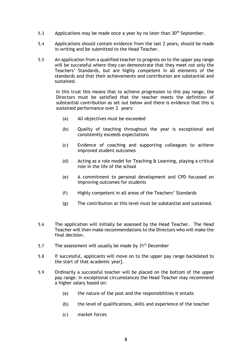- 5.3 Applications may be made once a year by no later than  $30<sup>th</sup>$  September.
- 5.4 Applications should contain evidence from the last 2 years, should be made in writing and be submitted to the Head Teacher.
- 5.5 An application from a qualified teacher to progress on to the upper pay range will be successful where they can demonstrate that they meet not only the Teachers' Standards, but are highly competent in all elements of the standards and that their achievements and contribution are substantial and sustained.

In this trust this means that to achieve progression to this pay range, the Directors must be satisfied that the teacher meets the definition of substantial contribution as set out below and there is evidence that this is sustained performance over 2 years:

- (a) All objectives must be exceeded
- (b) Quality of teaching throughout the year is exceptional and consistently exceeds expectations
- (c) Evidence of coaching and supporting colleagues to achieve improved student outcomes
- (d) Acting as a role model for Teaching & Learning, playing a critical role in the life of the school
- (e) A commitment to personal development and CPD focussed on improving outcomes for students
- (f) Highly competent in all areas of the Teachers' Standards
- (g) The contribution at this level must be substantial and sustained.
- 5.6 The application will initially be assessed by the Head Teacher. The Head Teacher will then make recommendations to the Directors who will make the final decision.
- 5.7 The assessment will usually be made by  $31<sup>st</sup>$  December
- 5.8 If successful, applicants will move on to the upper pay range backdated to the start of that academic year].
- 5.9 Ordinarily a successful teacher will be placed on the bottom of the upper pay range. In exceptional circumstances the Head Teacher may recommend a higher salary based on:
	- (a) the nature of the post and the responsibilities it entails
	- (b) the level of qualifications, skills and experience of the teacher
	- (c) market forces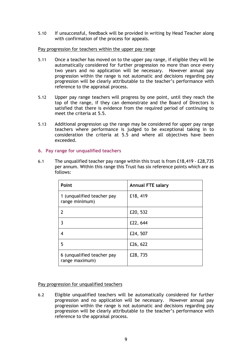5.10 If unsuccessful, feedback will be provided in writing by Head Teacher along with confirmation of the process for appeals.

#### Pay progression for teachers within the upper pay range

- 5.11 Once a teacher has moved on to the upper pay range, if eligible they will be automatically considered for further progression no more than once every two years and no application will be necessary. However annual pay progression within the range is not automatic and decisions regarding pay progression will be clearly attributable to the teacher's performance with reference to the appraisal process.
- 5.12 Upper pay range teachers will progress by one point, until they reach the top of the range, if they can demonstrate and the Board of Directors is satisfied that there is evidence from the required period of continuing to meet the criteria at 5.5.
- 5.13 Additional progression up the range may be considered for upper pay range teachers where performance is judged to be exceptional taking in to consideration the criteria at 5.5 and where all objectives have been exceeded.

# <span id="page-8-0"></span>**6. Pay range for unqualified teachers**

6.1 The unqualified teacher pay range within this trust is from £18,419 - £28,735 per annum. Within this range this Trust has six reference points which are as follows:

| <b>Point</b>                                 | <b>Annual FTE salary</b> |
|----------------------------------------------|--------------------------|
| 1 (unqualified teacher pay<br>range minimum) | £18, 419                 |
|                                              | £20, 532                 |
| ٦                                            | £22, 644                 |
| 4                                            | £24, 507                 |
| 5                                            | £26, 622                 |
| 6 (unqualified teacher pay<br>range maximum) | £28, 735                 |

# Pay progression for unqualified teachers

6.2 Eligible unqualified teachers will be automatically considered for further progression and no application will be necessary. However annual pay progression within the range is not automatic and decisions regarding pay progression will be clearly attributable to the teacher's performance with reference to the appraisal process.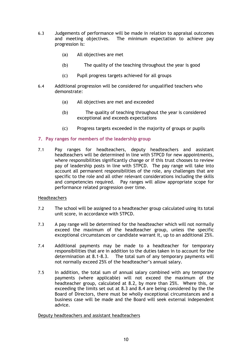- 6.3 Judgements of performance will be made in relation to appraisal outcomes and meeting objectives. The minimum expectation to achieve pay progression is:
	- (a) All objectives are met
	- (b) The quality of the teaching throughout the year is good
	- (c) Pupil progress targets achieved for all groups
- 6.4 Additional progression will be considered for unqualified teachers who demonstrate:
	- (a) All objectives are met and exceeded
	- (b) The quality of teaching throughout the year is considered exceptional and exceeds expectations
	- (c) Progress targets exceeded in the majority of groups or pupils

# <span id="page-9-0"></span>**7. Pay ranges for members of the leadership group**

7.1 Pay ranges for headteachers, deputy headteachers and assistant headteachers will be determined in line with STPCD for new appointments, where responsibilities significantly change or if this trust chooses to review pay of leadership posts in line with STPCD. The pay range will take into account all permanent responsibilities of the role, any challenges that are specific to the role and all other relevant considerations including the skills and competencies required. Pay ranges will allow appropriate scope for performance related progression over time.

# Headteachers

- 7.2 The school will be assigned to a headteacher group calculated using its total unit score, in accordance with STPCD.
- 7.3 A pay range will be determined for the headteacher which will not normally exceed the maximum of the headteacher group, unless the specific exceptional circumstances or candidate warrant it, up to an additional 25%.
- 7.4 Additional payments may be made to a headteacher for temporary responsibilities that are in addition to the duties taken in to account for the determination at 8.1-8.3. The total sum of any temporary payments will not normally exceed 25% of the headteacher's annual salary.
- 7.5 In addition, the total sum of annual salary combined with any temporary payments (where applicable) will not exceed the maximum of the headteacher group, calculated at 8.2, by more than 25%. Where this, or exceeding the limits set out at 8.3 and 8.4 are being considered by the the Board of Directors, there must be wholly exceptional circumstances and a business case will be made and the Board will seek external independent advice.

# Deputy headteachers and assistant headteachers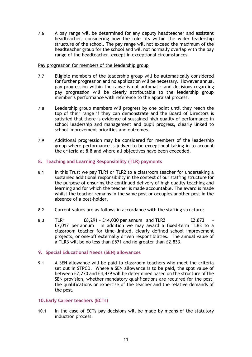7.6 A pay range will be determined for any deputy headteacher and assistant headteacher, considering how the role fits within the wider leadership structure of the school. The pay range will not exceed the maximum of the headteacher group for the school and will not normally overlap with the pay range of the headteacher, except in exceptional circumstances.

#### Pay progression for members of the leadership group

- 7.7 Eligible members of the leadership group will be automatically considered for further progression and no application will be necessary. However annual pay progression within the range is not automatic and decisions regarding pay progression will be clearly attributable to the leadership group member's performance with reference to the appraisal process.
- 7.8 Leadership group members will progress by one point until they reach the top of their range if they can demonstrate and the Board of Directors is satisfied that there is evidence of sustained high quality of performance in school leadership and management and pupil progress, clearly linked to school improvement priorities and outcomes.
- 7.9 Additional progression may be considered for members of the leadership group where performance is judged to be exceptional taking in to account the criteria at 8.8 and where all objectives have been exceeded.

# <span id="page-10-0"></span>**8. Teaching and Learning Responsibility (TLR) payments**

- 8.1 In this Trust we pay TLR1 or TLR2 to a classroom teacher for undertaking a sustained additional responsibility in the context of our staffing structure for the purpose of ensuring the continued delivery of high quality teaching and learning and for which the teacher is made accountable. The award is made whilst the teacher remains in the same post or occupies another post in the absence of a post-holder.
- 8.2 Current values are as follows in accordance with the staffing structure:
- 8.3 TLR1 **E8,291 £14,030 per annum and TLR2 E2,873** £7,017 per annum In addition we may award a fixed-term TLR3 to a classroom teacher for time-limited, clearly defined school improvement projects, or one-off externally driven responsibilities. The annual value of a TLR3 will be no less than £571 and no greater than £2,833.

# <span id="page-10-1"></span>**9. Special Educational Needs (SEN) allowances**

9.1 A SEN allowance will be paid to classroom teachers who meet the criteria set out in STPCD. Where a SEN allowance is to be paid, the spot value of between £2,270 and £4,479 will be determined based on the structure of the SEN provision, whether mandatory qualifications are required for the post, the qualifications or expertise of the teacher and the relative demands of the post.

# <span id="page-10-2"></span>**10.Early Career teachers (ECTs)**

10.1 In the case of ECTs pay decisions will be made by means of the statutory induction process.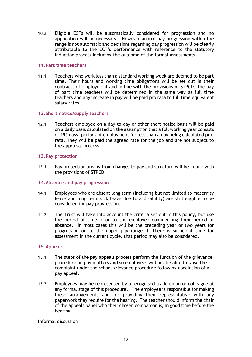10.2 Eligible ECTs will be automatically considered for progression and no application will be necessary. However annual pay progression within the range is not automatic and decisions regarding pay progression will be clearly attributable to the ECT's performance with reference to the statutory induction process including the outcome of the formal assessments

#### <span id="page-11-0"></span>**11.Part time teachers**

11.1 Teachers who work less than a standard working week are deemed to be part time. Their hours and working time obligations will be set out in their contracts of employment and in line with the provisions of STPCD. The pay of part time teachers will be determined in the same way as full time teachers and any increase in pay will be paid pro rata to full time equivalent salary rates.

#### <span id="page-11-1"></span>**12.Short notice/supply teachers**

12.1 Teachers employed on a day-to-day or other short notice basis will be paid on a daily basis calculated on the assumption that a full working year consists of 195 days; periods of employment for less than a day being calculated prorata. They will be paid the agreed rate for the job and are not subject to the appraisal process.

#### <span id="page-11-2"></span>**13.Pay protection**

13.1 Pay protection arising from changes to pay and structure will be in line with the provisions of STPCD.

#### <span id="page-11-3"></span>**14.Absence and pay progression**

- 14.1 Employees who are absent long term (including but not limited to maternity leave and long term sick leave due to a disability) are still eligible to be considered for pay progression.
- 14.2 The Trust will take into account the criteria set out in this policy, but use the period of time prior to the employee commencing their period of absence. In most cases this will be the preceding year or two years for progression on to the upper pay range. If there is sufficient time for assessment in the current cycle, that period may also be considered.

#### <span id="page-11-4"></span>**15.Appeals**

- 15.1 The steps of the pay appeals process perform the function of the grievance procedure on pay matters and so employees will not be able to raise the complaint under the school grievance procedure following conclusion of a pay appeal.
- 15.2 Employees may be represented by a recognised trade union or colleague at any formal stage of this procedure. The employee is responsible for making these arrangements and for providing their representative with any paperwork they require for the hearing. The teacher should inform the chair of the appeals panel who their chosen companion is, in good time before the hearing.

#### Informal discussion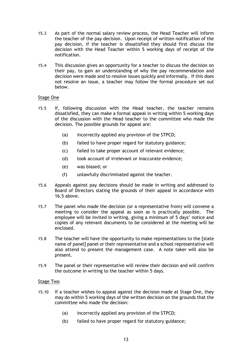- 15.3 As part of the normal salary review process, the Head Teacher will inform the teacher of the pay decision. Upon receipt of written notification of the pay decision, if the teacher is dissatisfied they should first discuss the decision with the Head Teacher within 5 working days of receipt of the notification.
- 15.4 This discussion gives an opportunity for a teacher to discuss the decision on their pay, to gain an understanding of why the pay recommendation and decision were made and to resolve issues quickly and informally. If this does not resolve an issue, a teacher may follow the formal procedure set out below.

# Stage One

- 15.5 If, following discussion with the Head teacher, the teacher remains dissatisfied, they can make a formal appeal in writing within 5 working days of the discussion with the Head teacher to the committee who made the decision. The possible grounds for appeal are:
	- (a) incorrectly applied any provision of the STPCD;
	- (b) failed to have proper regard for statutory guidance;
	- (c) failed to take proper account of relevant evidence;
	- (d) took account of irrelevant or inaccurate evidence;
	- (e) was biased; or
	- (f) unlawfully discriminated against the teacher.
- 15.6 Appeals against pay decisions should be made in writing and addressed to Board of Directors stating the grounds of their appeal in accordance with 16.5 above.
- 15.7 The panel who made the decision (or a representative from) will convene a meeting to consider the appeal as soon as is practically possible. The employee will be invited in writing, giving a minimum of 5 days' notice and copies of any relevant documents to be considered at the meeting will be enclosed.
- 15.8 The teacher will have the opportunity to make representations to the [state name of panel] panel or their representative and a school representative will also attend to present the management case. A note taker will also be present.
- 15.9 The panel or their representative will review their decision and will confirm the outcome in writing to the teacher within 5 days.

#### Stage Two

- 15.10 If a teacher wishes to appeal against the decision made at Stage One, they may do within 5 working days of the written decision on the grounds that the committee who made the decision:
	- (a) incorrectly applied any provision of the STPCD;
	- (b) failed to have proper regard for statutory guidance;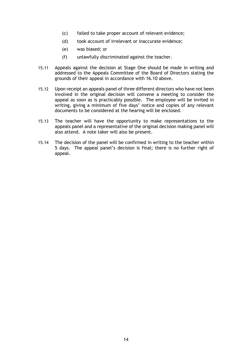- (c) failed to take proper account of relevant evidence;
- (d) took account of irrelevant or inaccurate evidence;
- (e) was biased; or
- (f) unlawfully discriminated against the teacher.
- 15.11 Appeals against the decision at Stage One should be made in writing and addressed to the Appeals Committee of the Board of Directors stating the grounds of their appeal in accordance with 16.10 above.
- 15.12 Upon receipt an appeals panel of three different directors who have not been involved in the original decision will convene a meeting to consider the appeal as soon as is practicably possible. The employee will be invited in writing, giving a minimum of five days' notice and copies of any relevant documents to be considered at the hearing will be enclosed.
- 15.13 The teacher will have the opportunity to make representations to the appeals panel and a representative of the original decision making panel will also attend. A note taker will also be present.
- 15.14 The decision of the panel will be confirmed in writing to the teacher within 5 days. The appeal panel's decision is final; there is no further right of appeal.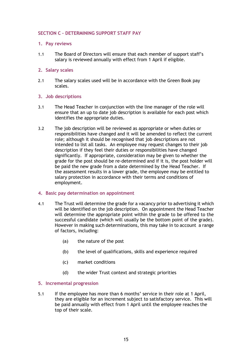# <span id="page-14-0"></span>**SECTION C – DETERMINING SUPPORT STAFF PAY**

# <span id="page-14-1"></span>**1. Pay reviews**

1.1 The Board of Directors will ensure that each member of support staff's salary is reviewed annually with effect from 1 April if eligible.

## <span id="page-14-2"></span>**2. Salary scales**

2.1 The salary scales used will be in accordance with the Green Book pay scales.

#### <span id="page-14-3"></span>**3. Job descriptions**

- 3.1 The Head Teacher in conjunction with the line manager of the role will ensure that an up to date job description is available for each post which identifies the appropriate duties.
- 3.2 The job description will be reviewed as appropriate or when duties or responsibilities have changed and it will be amended to reflect the current role; although it should be recognised that job descriptions are not intended to list all tasks. An employee may request changes to their job description if they feel their duties or responsibilities have changed significantly. If appropriate, consideration may be given to whether the grade for the post should be re-determined and if it is, the post holder will be paid the new grade from a date determined by the Head Teacher. If the assessment results in a lower grade, the employee may be entitled to salary protection in accordance with their terms and conditions of employment.

#### <span id="page-14-4"></span>**4. Basic pay determination on appointment**

- 4.1 The Trust will determine the grade for a vacancy prior to advertising it which will be identified on the job description. On appointment the Head Teacher will determine the appropriate point within the grade to be offered to the successful candidate (which will usually be the bottom point of the grade). However in making such determinations, this may take in to account a range of factors, including:
	- (a) the nature of the post
	- (b) the level of qualifications, skills and experience required
	- (c) market conditions
	- (d) the wider Trust context and strategic priorities

# <span id="page-14-5"></span>**5. Incremental progression**

5.1 If the employee has more than 6 months' service in their role at 1 April, they are eligible for an increment subject to satisfactory service. This will be paid annually with effect from 1 April until the employee reaches the top of their scale.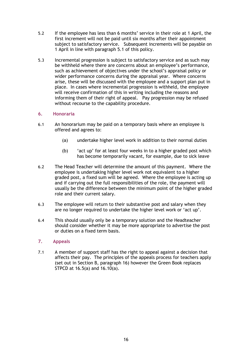- 5.2 If the employee has less than 6 months' service in their role at 1 April, the first increment will not be paid until six months after their appointment subject to satisfactory service. Subsequent increments will be payable on 1 April in line with paragraph 5.1 of this policy.
- 5.3 Incremental progression is subject to satisfactory service and as such may be withheld where there are concerns about an employee's performance, such as achievement of objectives under the school's appraisal policy or wider performance concerns during the appraisal year. Where concerns arise, these will be discussed with the employee and a support plan put in place. In cases where incremental progression is withheld, the employee will receive confirmation of this in writing including the reasons and informing them of their right of appeal. Pay progression may be refused without recourse to the capability procedure.

# <span id="page-15-0"></span>**6. Honoraria**

- 6.1 An honorarium may be paid on a temporary basis where an employee is offered and agrees to:
	- (a) undertake higher level work in addition to their normal duties
	- (b) 'act up' for at least four weeks in to a higher graded post which has become temporarily vacant, for example, due to sick leave
- 6.2 The Head Teacher will determine the amount of this payment. Where the employee is undertaking higher level work not equivalent to a higher graded post, a fixed sum will be agreed. Where the employee is acting up and if carrying out the full responsibilities of the role, the payment will usually be the difference between the minimum point of the higher graded role and their current salary.
- 6.3 The employee will return to their substantive post and salary when they are no longer required to undertake the higher level work or 'act up'.
- 6.4 This should usually only be a temporary solution and the Headteacher should consider whether it may be more appropriate to advertise the post or duties on a fixed term basis.

# <span id="page-15-1"></span>**7. Appeals**

7.1 A member of support staff has the right to appeal against a decision that affects their pay. The principles of the appeals process for teachers apply (set out in Section B, paragraph 16) however the Green Book replaces STPCD at 16.5(a) and 16.10(a).